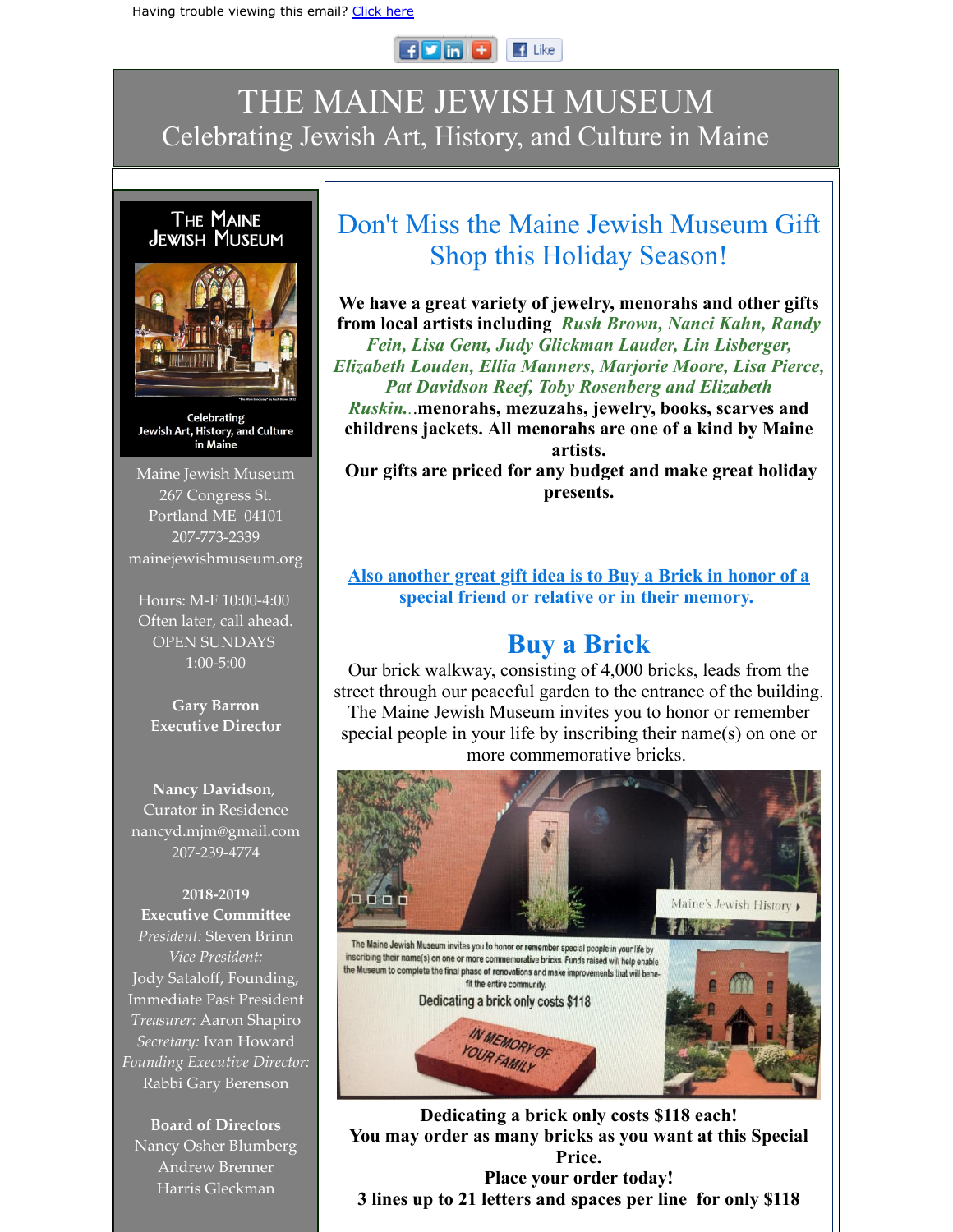## $F$   $\blacksquare$  $\blacksquare$  Like

## THE MAINE JEWISH MUSEUM Celebrating Jewish Art, History, and Culture in Maine



Celebrating Jewish Art, History, and Culture in Maine

Maine Jewish Museum 267 Congress St. Portland ME 04101 207-773-2339 mainejewishmuseum.org

Hours: M-F 10:00-4:00 Often later, call ahead. OPEN SUNDAYS 1:00-5:00

**Gary Barron Executive Director**

**Nancy Davidson**, Curator in Residence nancyd.mjm@gmail.com 207-239-4774

**2018-2019 Executive Committee** *President:* Steven Brinn *Vice President:* Jody Sataloff, Founding, Immediate Past President *Treasurer:* Aaron Shapiro *Secretary:* Ivan Howard *Founding Executive Director:* Rabbi Gary Berenson

**Board of Directors** Nancy Osher Blumberg Andrew Brenner Harris Gleckman

## Don't Miss the Maine Jewish Museum Gift Shop this Holiday Season!

**We have a great variety of jewelry, menorahs and other gifts from local artists including** *Rush Brown, Nanci Kahn, Randy Fein, Lisa Gent, Judy Glickman Lauder, Lin Lisberger, Elizabeth Louden, Ellia Manners, Marjorie Moore, Lisa Pierce, Pat Davidson Reef, Toby Rosenberg and Elizabeth Ruskin..*.**menorahs, mezuzahs, jewelry, books, scarves and childrens jackets. All menorahs are one of a kind by Maine artists. Our gifts are priced for any budget and make great holiday presents.**

**Also another great gift idea is to Buy a Brick in honor of a special friend or relative or in their memory.** 

## **Buy a Brick**

Our brick walkway, consisting of 4,000 bricks, leads from the street through our peaceful garden to the entrance of the building. The Maine Jewish Museum invites you to honor or remember special people in your life by inscribing their name(s) on one or more commemorative bricks.



**Dedicating a brick only costs \$118 each! You may order as many bricks as you want at this Special Price. Place your order today! 3 lines up to 21 letters and spaces per line for only \$118**